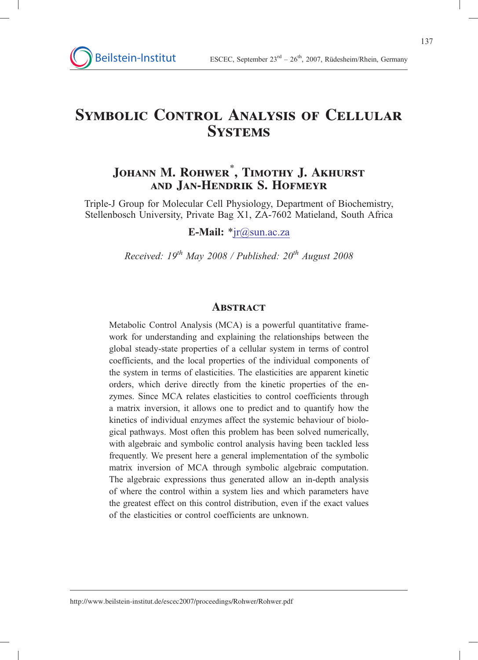# Symbolic Control Analysis of Cellular **SYSTEMS**

# Johann M. Rohwer\* , Timothy J. Akhurst and Jan-Hendrik S. Hofmeyr

Triple-J Group for Molecular Cell Physiology, Department of Biochemistry, Stellenbosch University, Private Bag X1, ZA-7602 Matieland, South Africa

### E-Mail:  $*ir@sum.ac.za$

Received:  $19^{th}$  May 2008 / Published:  $20^{th}$  August 2008

### **ABSTRACT**

Metabolic Control Analysis (MCA) is a powerful quantitative framework for understanding and explaining the relationships between the global steady-state properties of a cellular system in terms of control coefficients, and the local properties of the individual components of the system in terms of elasticities. The elasticities are apparent kinetic orders, which derive directly from the kinetic properties of the enzymes. Since MCA relates elasticities to control coefficients through a matrix inversion, it allows one to predict and to quantify how the kinetics of individual enzymes affect the systemic behaviour of biological pathways. Most often this problem has been solved numerically, with algebraic and symbolic control analysis having been tackled less frequently. We present here a general implementation of the symbolic matrix inversion of MCA through symbolic algebraic computation. The algebraic expressions thus generated allow an in-depth analysis of where the control within a system lies and which parameters have the greatest effect on this control distribution, even if the exact values of the elasticities or control coefficients are unknown.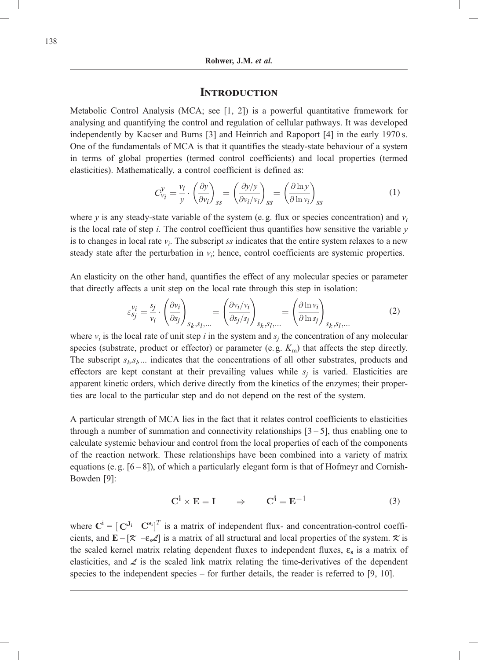### **INTRODUCTION**

Metabolic Control Analysis (MCA; see [1, 2]) is a powerful quantitative framework for analysing and quantifying the control and regulation of cellular pathways. It was developed independently by Kacser and Burns [3] and Heinrich and Rapoport [4] in the early 1970 s. One of the fundamentals of MCA is that it quantifies the steady-state behaviour of a system in terms of global properties (termed control coefficients) and local properties (termed elasticities). Mathematically, a control coefficient is defined as:

$$
C_{\nu_i}^{\mathcal{Y}} = \frac{\nu_i}{\mathcal{Y}} \cdot \left(\frac{\partial \mathcal{Y}}{\partial \mathcal{V}_i}\right)_{ss} = \left(\frac{\partial \mathcal{Y}}{\partial \mathcal{V}_i/\mathcal{V}_i}\right)_{ss} = \left(\frac{\partial \ln \mathcal{Y}}{\partial \ln \mathcal{V}_i}\right)_{ss}
$$
(1)

where y is any steady-state variable of the system (e.g. flux or species concentration) and  $v_i$ is the local rate of step  $i$ . The control coefficient thus quantifies how sensitive the variable  $y$ is to changes in local rate  $v_i$ . The subscript ss indicates that the entire system relaxes to a new steady state after the perturbation in  $v_i$ ; hence, control coefficients are systemic properties.

An elasticity on the other hand, quantifies the effect of any molecular species or parameter that directly affects a unit step on the local rate through this step in isolation:

$$
\varepsilon_{sj}^{\nu_i} = \frac{s_j}{\nu_i} \cdot \left(\frac{\partial \nu_i}{\partial s_j}\right)_{s_k, s_l, \dots} = \left(\frac{\partial \nu_i / \nu_i}{\partial s_j / s_j}\right)_{s_k, s_l, \dots} = \left(\frac{\partial \ln \nu_i}{\partial \ln s_j}\right)_{s_k, s_l, \dots}
$$
(2)

where  $v_i$  is the local rate of unit step i in the system and  $s_i$  the concentration of any molecular species (substrate, product or effector) or parameter (e.g.  $K<sub>m</sub>$ ) that affects the step directly. The subscript  $s_k, s_k, \ldots$  indicates that the concentrations of all other substrates, products and effectors are kept constant at their prevailing values while  $s_i$  is varied. Elasticities are apparent kinetic orders, which derive directly from the kinetics of the enzymes; their properties are local to the particular step and do not depend on the rest of the system.

A particular strength of MCA lies in the fact that it relates control coefficients to elasticities through a number of summation and connectivity relationships  $[3 - 5]$ , thus enabling one to calculate systemic behaviour and control from the local properties of each of the components of the reaction network. These relationships have been combined into a variety of matrix equations (e.g.  $[6-8]$ ), of which a particularly elegant form is that of Hofmeyr and Cornish-Bowden [9]:

$$
C^{\mathbf{i}} \times E = I \qquad \Rightarrow \qquad C^{\mathbf{i}} = E^{-1} \tag{3}
$$

where  $\mathbf{C}^i = [\mathbf{C}^{J_i} \quad \mathbf{C}^{s_i}]^T$  is a matrix of independent flux- and concentration-control coefficients, and  $\mathbf{E} = [\mathcal{K} - \varepsilon \mathcal{L}]$  is a matrix of all structural and local properties of the system.  $\mathcal{K}$  is the scaled kernel matrix relating dependent fluxes to independent fluxes,  $\varepsilon_s$  is a matrix of elasticities, and  $\angle$  is the scaled link matrix relating the time-derivatives of the dependent species to the independent species – for further details, the reader is referred to [9, 10].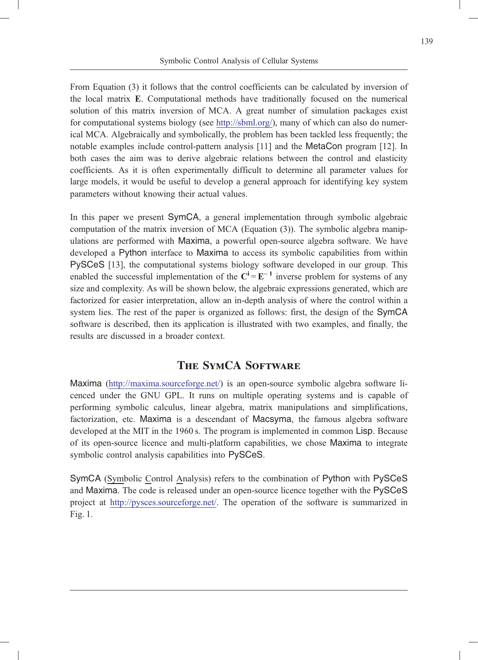From Equation (3) it follows that the control coefficients can be calculated by inversion of the local matrix E. Computational methods have traditionally focused on the numerical solution of this matrix inversion of MCA. A great number of simulation packages exist for computational systems biology (see http://sbml.org/), many of which can also do numerical MCA. Algebraically and symbolically, the problem has been tackled less frequently; the notable examples include control-pattern analysis [11] and the MetaCon program [12]. In both cases the aim was to derive algebraic relations between the control and elasticity coefficients. As it is often experimentally difficult to determine all parameter values for large models, it would be useful to develop a general approach for identifying key system parameters without knowing their actual values.

In this paper we present SymCA, a general implementation through symbolic algebraic computation of the matrix inversion of MCA (Equation (3)). The symbolic algebra manipulations are performed with Maxima, a powerful open-source algebra software. We have developed a Python interface to Maxima to access its symbolic capabilities from within PySCeS [13], the computational systems biology software developed in our group. This enabled the successful implementation of the  $C^i = E^{-1}$  inverse problem for systems of any size and complexity. As will be shown below, the algebraic expressions generated, which are factorized for easier interpretation, allow an in-depth analysis of where the control within a system lies. The rest of the paper is organized as follows: first, the design of the SymCA software is described, then its application is illustrated with two examples, and finally, the results are discussed in a broader context.

# The SymCA Software

Maxima (http://maxima.sourceforge.net/) is an open-source symbolic algebra software licenced under the GNU GPL. It runs on multiple operating systems and is capable of performing symbolic calculus, linear algebra, matrix manipulations and simplifications, factorization, etc. Maxima is a descendant of Macsyma, the famous algebra software developed at the MIT in the 1960 s. The program is implemented in common Lisp. Because of its open-source licence and multi-platform capabilities, we chose Maxima to integrate symbolic control analysis capabilities into PySCeS.

SymCA (Symbolic Control Analysis) refers to the combination of Python with PySCeS and Maxima. The code is released under an open-source licence together with the PySCeS project at http://pysces.sourceforge.net/. The operation of the software is summarized in Fig. 1.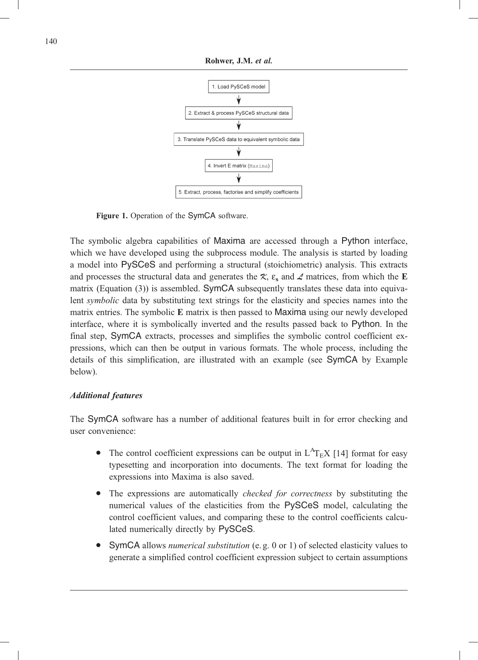

Figure 1. Operation of the SymCA software.

The symbolic algebra capabilities of Maxima are accessed through a Python interface, which we have developed using the subprocess module. The analysis is started by loading a model into PySCeS and performing a structural (stoichiometric) analysis. This extracts and processes the structural data and generates the  $\mathcal{R}$ ,  $\varepsilon_s$  and  $\mathcal{L}$  matrices, from which the E matrix (Equation (3)) is assembled. SymCA subsequently translates these data into equivalent *symbolic* data by substituting text strings for the elasticity and species names into the matrix entries. The symbolic E matrix is then passed to Maxima using our newly developed interface, where it is symbolically inverted and the results passed back to Python. In the final step, SymCA extracts, processes and simplifies the symbolic control coefficient expressions, which can then be output in various formats. The whole process, including the details of this simplification, are illustrated with an example (see SymCA by Example below).

### Additional features

The SymCA software has a number of additional features built in for error checking and user convenience:

- The control coefficient expressions can be output in  $L^{A}T_{E}X$  [14] format for easy typesetting and incorporation into documents. The text format for loading the expressions into Maxima is also saved.
- The expressions are automatically *checked for correctness* by substituting the numerical values of the elasticities from the PySCeS model, calculating the control coefficient values, and comparing these to the control coefficients calculated numerically directly by PySCeS.
- . SymCA allows numerical substitution (e. g. 0 or 1) of selected elasticity values to generate a simplified control coefficient expression subject to certain assumptions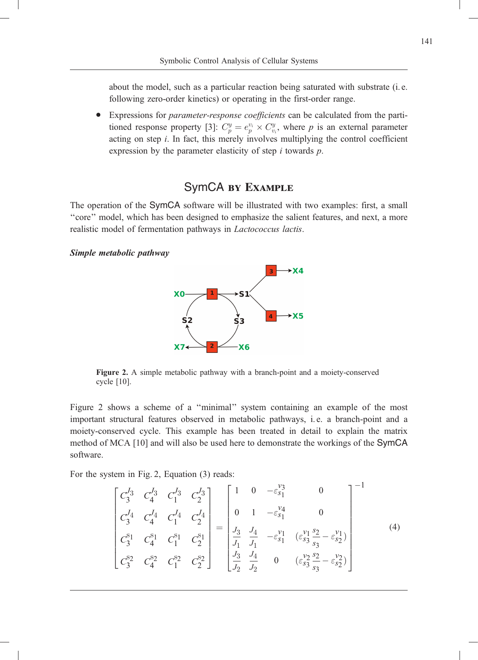about the model, such as a particular reaction being saturated with substrate (i. e. following zero-order kinetics) or operating in the first-order range.

. Expressions for parameter-response coefficients can be calculated from the partitioned response property [3]:  $C_p^y = e_p^{v_i} \times C_{v_i}^y$ , where p is an external parameter acting on step  $i$ . In fact, this merely involves multiplying the control coefficient expression by the parameter elasticity of step  $i$  towards  $p$ .

# SymCA by Example

The operation of the SymCA software will be illustrated with two examples: first, a small ''core'' model, which has been designed to emphasize the salient features, and next, a more realistic model of fermentation pathways in Lactococcus lactis.

#### Simple metabolic pathway



Figure 2. A simple metabolic pathway with a branch-point and a moiety-conserved cycle [10].

Figure 2 shows a scheme of a "minimal" system containing an example of the most important structural features observed in metabolic pathways, i. e. a branch-point and a moiety-conserved cycle. This example has been treated in detail to explain the matrix method of MCA [10] and will also be used here to demonstrate the workings of the SymCA software.

For the system in Fig. 2, Equation (3) reads:

$$
\begin{bmatrix} C_3^{J_3} & C_4^{J_3} & C_1^{J_3} & C_2^{J_3} \\ C_3^{J_4} & C_4^{J_4} & C_1^{J_4} & C_2^{J_4} \\ C_3^{s_1} & C_4^{s_1} & C_1^{s_1} & C_2^{s_1} \\ C_3^{s_2} & C_4^{s_2} & C_1^{s_2} & C_2^{s_2} \end{bmatrix} = \begin{bmatrix} 1 & 0 & -\varepsilon_{s_1}^{v_3} & 0 \\ 0 & 1 & -\varepsilon_{s_1}^{v_4} & 0 \\ \frac{J_3}{J_1} & \frac{J_4}{J_1} & -\varepsilon_{s_1}^{v_1} & (\varepsilon_{s_3}^{v_1} \frac{s_2}{s_3} - \varepsilon_{s_2}^{v_1}) \\ \frac{J_3}{J_2} & \frac{J_4}{J_2} & 0 & (\varepsilon_{s_3}^{v_2} \frac{s_2}{s_3} - \varepsilon_{s_2}^{v_2}) \end{bmatrix}^{-1}
$$
(4)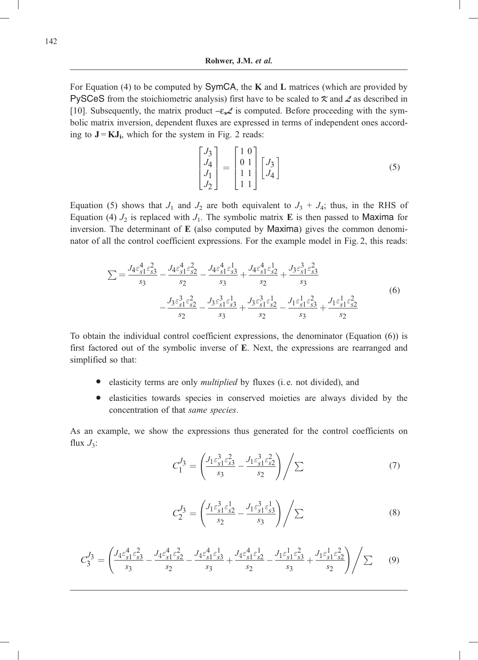For Equation (4) to be computed by SymCA, the K and L matrices (which are provided by PySCeS from the stoichiometric analysis) first have to be scaled to  $\mathcal X$  and  $\mathcal Z$  as described in [10]. Subsequently, the matrix product  $-\varepsilon \mathcal{L}$  is computed. Before proceeding with the symbolic matrix inversion, dependent fluxes are expressed in terms of independent ones according to  $J = KJ_i$ , which for the system in Fig. 2 reads:

$$
\begin{bmatrix} J_3 \\ J_4 \\ J_1 \\ J_2 \end{bmatrix} = \begin{bmatrix} 1 & 0 \\ 0 & 1 \\ 1 & 1 \\ 1 & 1 \end{bmatrix} \begin{bmatrix} J_3 \\ J_4 \end{bmatrix}
$$
 (5)

Equation (5) shows that  $J_1$  and  $J_2$  are both equivalent to  $J_3 + J_4$ ; thus, in the RHS of Equation (4)  $J_2$  is replaced with  $J_1$ . The symbolic matrix **E** is then passed to Maxima for inversion. The determinant of E (also computed by Maxima) gives the common denominator of all the control coefficient expressions. For the example model in Fig. 2, this reads:

$$
\sum = \frac{J_4 \varepsilon_{s1}^4 \varepsilon_{s2}^2}{s_3} - \frac{J_4 \varepsilon_{s1}^4 \varepsilon_{s2}^2}{s_2} - \frac{J_4 \varepsilon_{s1}^4 \varepsilon_{s3}^1}{s_3} + \frac{J_4 \varepsilon_{s1}^4 \varepsilon_{s2}^1}{s_2} + \frac{J_3 \varepsilon_{s1}^3 \varepsilon_{s3}^2}{s_3} - \frac{J_3 \varepsilon_{s1}^3 \varepsilon_{s2}^2}{s_2} - \frac{J_3 \varepsilon_{s1}^3 \varepsilon_{s3}^1}{s_3} + \frac{J_3 \varepsilon_{s1}^3 \varepsilon_{s2}^1}{s_2} - \frac{J_1 \varepsilon_{s1}^1 \varepsilon_{s3}^2}{s_3} + \frac{J_1 \varepsilon_{s1}^1 \varepsilon_{s2}^2}{s_2}
$$
\n(6)

To obtain the individual control coefficient expressions, the denominator (Equation (6)) is first factored out of the symbolic inverse of E. Next, the expressions are rearranged and simplified so that:

- . elasticity terms are only multiplied by fluxes (i. e. not divided), and
- . elasticities towards species in conserved moieties are always divided by the concentration of that same species.

As an example, we show the expressions thus generated for the control coefficients on flux  $J_3$ :

$$
C_1^{J_3} = \left(\frac{J_1 \varepsilon_{s1}^3 \varepsilon_{s3}^2}{s_3} - \frac{J_1 \varepsilon_{s1}^3 \varepsilon_{s2}^2}{s_2}\right) / \sum\tag{7}
$$

$$
C_2^{J_3} = \left(\frac{J_1 \varepsilon_{s1}^3 \varepsilon_{s2}^1}{s_2} - \frac{J_1 \varepsilon_{s1}^3 \varepsilon_{s3}^1}{s_3}\right) / \sum
$$
 (8)

$$
C_3^{J_3} = \left( \frac{J_4 \varepsilon_{s1}^4 \varepsilon_{s3}^2}{s_3} - \frac{J_4 \varepsilon_{s1}^4 \varepsilon_{s2}^2}{s_2} - \frac{J_4 \varepsilon_{s1}^4 \varepsilon_{s3}^1}{s_3} + \frac{J_4 \varepsilon_{s1}^4 \varepsilon_{s2}^1}{s_2} - \frac{J_1 \varepsilon_{s1}^1 \varepsilon_{s3}^2}{s_3} + \frac{J_1 \varepsilon_{s1}^1 \varepsilon_{s2}^2}{s_2} \right) / \sum \tag{9}
$$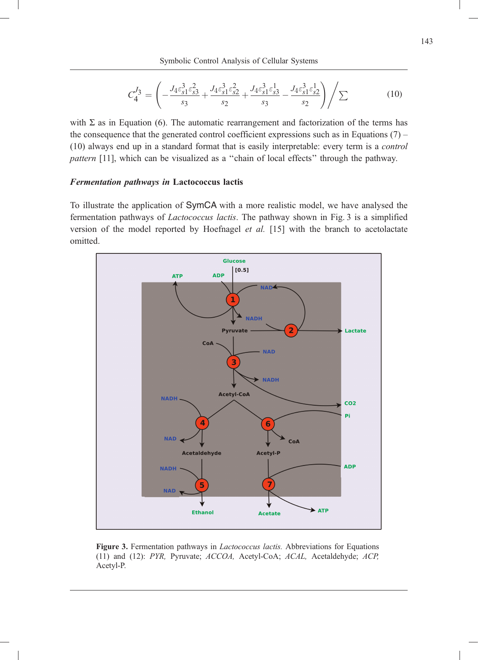$$
C_4^{J_3} = \left( -\frac{J_4 \varepsilon_{s1}^3 \varepsilon_{s3}^2}{s_3} + \frac{J_4 \varepsilon_{s1}^3 \varepsilon_{s2}^2}{s_2} + \frac{J_4 \varepsilon_{s1}^3 \varepsilon_{s3}^1}{s_3} - \frac{J_4 \varepsilon_{s1}^3 \varepsilon_{s2}^1}{s_2} \right) / \sum \tag{10}
$$

with  $\Sigma$  as in Equation (6). The automatic rearrangement and factorization of the terms has the consequence that the generated control coefficient expressions such as in Equations  $(7)$  – (10) always end up in a standard format that is easily interpretable: every term is a control pattern [11], which can be visualized as a ''chain of local effects'' through the pathway.

#### Fermentation pathways in Lactococcus lactis

To illustrate the application of SymCA with a more realistic model, we have analysed the fermentation pathways of Lactococcus lactis. The pathway shown in Fig. 3 is a simplified version of the model reported by Hoefnagel et al. [15] with the branch to acetolactate omitted.



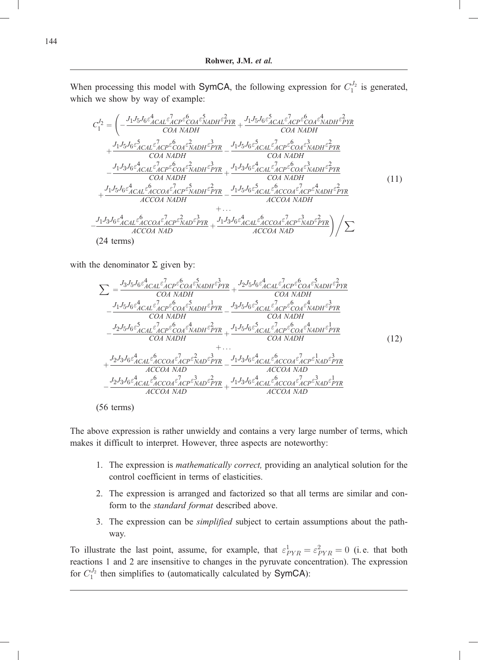When processing this model with SymCA, the following expression for  $C_1^{J_2}$  is generated, which we show by way of example:

$$
C_{1}^{I_2} = \left(-\frac{J_1 J_5 J_6 \varepsilon_{ACAL}^2 \varepsilon_{ACP}^2 \varepsilon_{COA}^6 \varepsilon_{MDH}^5 \varepsilon_{PYR}^2}{COA NADH} + \frac{J_1 J_5 J_6 \varepsilon_{ACAL}^5 \varepsilon_{ACP}^2 \varepsilon_{COA}^6 \varepsilon_{MDH}^2 \varepsilon_{PYR}^2}{COA NADH} + \frac{J_1 J_5 J_6 \varepsilon_{ACAL}^5 \varepsilon_{ACAL}^7 \varepsilon_{CDA}^7 \varepsilon_{MDH}^2 \varepsilon_{PYR}^3}{COA NADH} - \frac{J_1 J_5 J_6 \varepsilon_{ACAL}^5 \varepsilon_{ACAL}^7 \varepsilon_{CDA}^7 \varepsilon_{MDH}^2 \varepsilon_{PYR}^2}{COA NADH} - \frac{J_1 J_3 J_6 \varepsilon_{ACAL}^4 \varepsilon_{ACP}^5 \varepsilon_{COA}^6 \varepsilon_{MDH}^3 \varepsilon_{PYR}^2}{COA NADH} - \frac{J_1 J_3 J_6 \varepsilon_{ACAL}^4 \varepsilon_{ACP}^6 \varepsilon_{COA}^6 \varepsilon_{MDH}^3 \varepsilon_{PYR}^2}{COA NADH} + \frac{J_1 J_5 J_6 \varepsilon_{ACAL}^4 \varepsilon_{ACCOA}^6 \varepsilon_{CDA}^7 \varepsilon_{MDH}^2 \varepsilon_{PYR}^2}{ACCOA NADH} + \dots
$$
\n
$$
+ \frac{J_1 J_3 J_6 \varepsilon_{ACAL}^4 \varepsilon_{ACCOA}^6 \varepsilon_{ACP}^2 \varepsilon_{MDF}^2 \varepsilon_{PYR}^3}{ACCOA NAD} + \dots
$$
\n
$$
+ \frac{J_1 J_3 J_6 \varepsilon_{ACAL}^4 \varepsilon_{ACCOA}^6 \varepsilon_{ACP}^2 \varepsilon_{MDF}^2 \varepsilon_{PYR}^3}{ACCOA NAD} + \frac{J_1 J_3 J_6 \varepsilon_{ACAL}^4 \varepsilon_{ACCOA}^6 \varepsilon_{ACP}^2 \varepsilon_{NAD}^2 \varepsilon_{PYR}^2}{ACCOA NAD} \right) / \sum
$$

with the denominator  $\Sigma$  given by:

$$
\sum = \frac{J_3 J_5 J_6 \epsilon_{ACAL}^4 \epsilon_{ACP}^2 \epsilon_{COA}^6 \epsilon_{ADHH}^5 \epsilon_{PRR}^3}{COA NADH} + \frac{J_2 J_5 J_6 \epsilon_{ACAL}^4 \epsilon_{ACP}^6 \epsilon_{COA}^6 \epsilon_{NADH}^2 \epsilon_{PRR}^2}{COA NADH} - \frac{J_1 J_5 J_6 \epsilon_{ACAL}^4 \epsilon_{ACP}^6 \epsilon_{COA}^6 \epsilon_{NADH}^4 \epsilon_{PRR}^3}{COA NADH} - \frac{J_2 J_5 J_6 \epsilon_{ACAL}^5 \epsilon_{ACAP}^6 \epsilon_{COA}^6 \epsilon_{NADH}^4 \epsilon_{PRR}^3}{COA NADH} - \frac{J_2 J_5 J_6 \epsilon_{ACAL}^5 \epsilon_{ACAP}^6 \epsilon_{COA}^6 \epsilon_{NADH}^4 \epsilon_{PRR}^3}{COA NADH} + \cdots + \frac{J_2 J_3 J_6 \epsilon_{ACAL}^6 \epsilon_{ACAP}^6 \epsilon_{NADH}^6 \epsilon_{PRR}^3}{COA NADH} + \cdots + \frac{J_2 J_3 J_6 \epsilon_{ACAL}^4 \epsilon_{ACCOA}^6 \epsilon_{NADH}^2 \epsilon_{PRR}^4}{ACCOA NAD} - \frac{J_2 J_3 J_6 \epsilon_{ACAL}^4 \epsilon_{ACCOA}^6 \epsilon_{NADR}^2 \epsilon_{PRR}^3}{ACCOA NAD} + \frac{J_1 J_3 J_6 \epsilon_{ACAL}^4 \epsilon_{ACCA}^6 \epsilon_{CCA}^7 \epsilon_{NAD}^2 \epsilon_{PRR}^3}{ACCOA NAD} - \frac{J_2 J_3 J_6 \epsilon_{ACAL}^4 \epsilon_{ACCOA}^6 \epsilon_{NADR}^2 \epsilon_{PRR}^3}{ACCOA NAD} + \frac{J_1 J_3 J_6 \epsilon_{ACAL}^4 \epsilon_{ACCA}^6 \epsilon_{CCA}^7 \epsilon_{NAD}^2 \epsilon_{PRR}^3}{ACCOA NAD} + \frac{J_2 J_3 J_6 \epsilon_{ACAL}^4 \epsilon_{ACCA}^6 \epsilon_{CCA}^7 \epsilon_{NAD}^2 \epsilon_{PRR}^3}{ACCOA NAD} + \frac{J_3 J_6 \epsilon_{ACAL}^4 \epsilon_{CACAA}^6 \epsilon_{CCA}^7 \epsilon_{NAD}^2 \epsilon_{PRR}^3
$$

(56 terms)

The above expression is rather unwieldy and contains a very large number of terms, which makes it difficult to interpret. However, three aspects are noteworthy:

- 1. The expression is mathematically correct, providing an analytical solution for the control coefficient in terms of elasticities.
- 2. The expression is arranged and factorized so that all terms are similar and conform to the *standard format* described above.
- 3. The expression can be simplified subject to certain assumptions about the pathway.

To illustrate the last point, assume, for example, that  $\varepsilon_{PYR}^1 = \varepsilon_{PYR}^2 = 0$  (i.e. that both reactions 1 and 2 are insensitive to changes in the pyruvate concentration). The expression for  $C_1^{J_2}$  then simplifies to (automatically calculated by SymCA):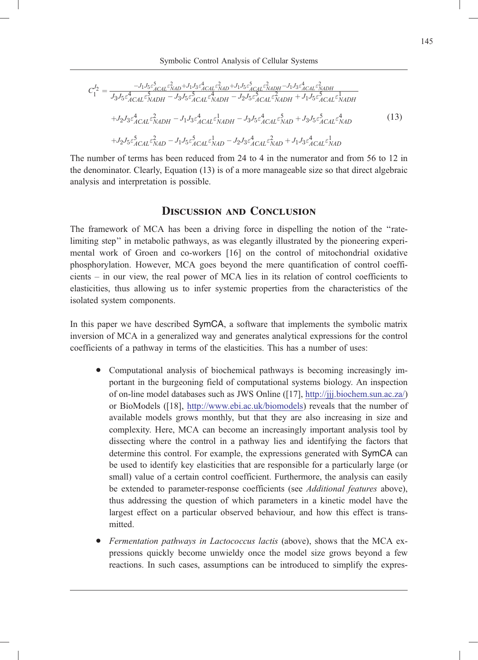$$
C_{1}^{J_{2}} = \frac{-J_{1}J_{5}\varepsilon_{ACAL}^{5}\varepsilon_{XAD}^{3} + J_{1}J_{3}\varepsilon_{ACAL}^{4}\varepsilon_{XAD}^{2} + J_{1}J_{5}\varepsilon_{ACAL}^{5}\varepsilon_{XADH}^{2} - J_{1}J_{3}\varepsilon_{ACAL}^{4}\varepsilon_{XADH}^{2}}{J_{3}J_{5}\varepsilon_{ACAL}^{4}\varepsilon_{NADH}^{5} - J_{3}J_{5}\varepsilon_{ACAL}^{5}\varepsilon_{NADH}^{2} - J_{2}J_{5}\varepsilon_{ACAL}^{5}\varepsilon_{XADH}^{2} + J_{1}J_{5}\varepsilon_{ACAL}^{5}\varepsilon_{NADH}^{1}
$$

$$
+J_{2}J_{3}\varepsilon_{ACAL}^{4}\varepsilon_{NADH}^{2} - J_{1}J_{3}\varepsilon_{ACAL}^{4}\varepsilon_{NADH}^{1} - J_{3}J_{5}\varepsilon_{ACAL}^{4}\varepsilon_{NAD}^{5} + J_{3}J_{5}\varepsilon_{ACAL}^{5}\varepsilon_{NAD}^{4}
$$
(13)
$$
+J_{2}J_{5}\varepsilon_{ACAL}^{5}\varepsilon_{NAD}^{2} - J_{1}J_{5}\varepsilon_{ACAL}^{5}\varepsilon_{NAD}^{1} - J_{2}J_{3}\varepsilon_{ACAL}^{4}\varepsilon_{NAD}^{2} + J_{1}J_{3}\varepsilon_{ACAL}^{4}\varepsilon_{NAD}^{1}
$$

The number of terms has been reduced from 24 to 4 in the numerator and from 56 to 12 in the denominator. Clearly, Equation (13) is of a more manageable size so that direct algebraic analysis and interpretation is possible.

### Discussion and Conclusion

The framework of MCA has been a driving force in dispelling the notion of the ''ratelimiting step'' in metabolic pathways, as was elegantly illustrated by the pioneering experimental work of Groen and co-workers [16] on the control of mitochondrial oxidative phosphorylation. However, MCA goes beyond the mere quantification of control coefficients – in our view, the real power of MCA lies in its relation of control coefficients to elasticities, thus allowing us to infer systemic properties from the characteristics of the isolated system components.

In this paper we have described SymCA, a software that implements the symbolic matrix inversion of MCA in a generalized way and generates analytical expressions for the control coefficients of a pathway in terms of the elasticities. This has a number of uses:

- . Computational analysis of biochemical pathways is becoming increasingly important in the burgeoning field of computational systems biology. An inspection of on-line model databases such as JWS Online ([17], http://jjj.biochem.sun.ac.za/) or BioModels ([18], http://www.ebi.ac.uk/biomodels) reveals that the number of available models grows monthly, but that they are also increasing in size and complexity. Here, MCA can become an increasingly important analysis tool by dissecting where the control in a pathway lies and identifying the factors that determine this control. For example, the expressions generated with SymCA can be used to identify key elasticities that are responsible for a particularly large (or small) value of a certain control coefficient. Furthermore, the analysis can easily be extended to parameter-response coefficients (see *Additional features* above), thus addressing the question of which parameters in a kinetic model have the largest effect on a particular observed behaviour, and how this effect is transmitted.
- Fermentation pathways in Lactococcus lactis (above), shows that the MCA expressions quickly become unwieldy once the model size grows beyond a few reactions. In such cases, assumptions can be introduced to simplify the expres-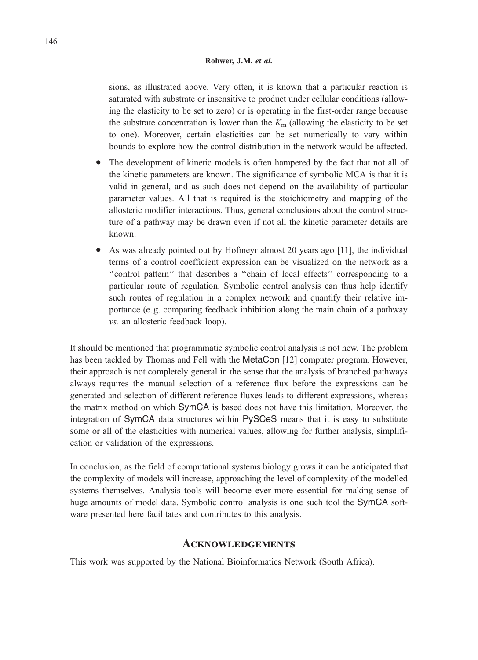sions, as illustrated above. Very often, it is known that a particular reaction is saturated with substrate or insensitive to product under cellular conditions (allowing the elasticity to be set to zero) or is operating in the first-order range because the substrate concentration is lower than the  $K<sub>m</sub>$  (allowing the elasticity to be set to one). Moreover, certain elasticities can be set numerically to vary within bounds to explore how the control distribution in the network would be affected.

- . The development of kinetic models is often hampered by the fact that not all of the kinetic parameters are known. The significance of symbolic MCA is that it is valid in general, and as such does not depend on the availability of particular parameter values. All that is required is the stoichiometry and mapping of the allosteric modifier interactions. Thus, general conclusions about the control structure of a pathway may be drawn even if not all the kinetic parameter details are known.
- . As was already pointed out by Hofmeyr almost 20 years ago [11], the individual terms of a control coefficient expression can be visualized on the network as a ''control pattern'' that describes a ''chain of local effects'' corresponding to a particular route of regulation. Symbolic control analysis can thus help identify such routes of regulation in a complex network and quantify their relative importance (e. g. comparing feedback inhibition along the main chain of a pathway vs. an allosteric feedback loop).

It should be mentioned that programmatic symbolic control analysis is not new. The problem has been tackled by Thomas and Fell with the MetaCon [12] computer program. However, their approach is not completely general in the sense that the analysis of branched pathways always requires the manual selection of a reference flux before the expressions can be generated and selection of different reference fluxes leads to different expressions, whereas the matrix method on which SymCA is based does not have this limitation. Moreover, the integration of SymCA data structures within PySCeS means that it is easy to substitute some or all of the elasticities with numerical values, allowing for further analysis, simplification or validation of the expressions.

In conclusion, as the field of computational systems biology grows it can be anticipated that the complexity of models will increase, approaching the level of complexity of the modelled systems themselves. Analysis tools will become ever more essential for making sense of huge amounts of model data. Symbolic control analysis is one such tool the SymCA software presented here facilitates and contributes to this analysis.

# **ACKNOWLEDGEMENTS**

This work was supported by the National Bioinformatics Network (South Africa).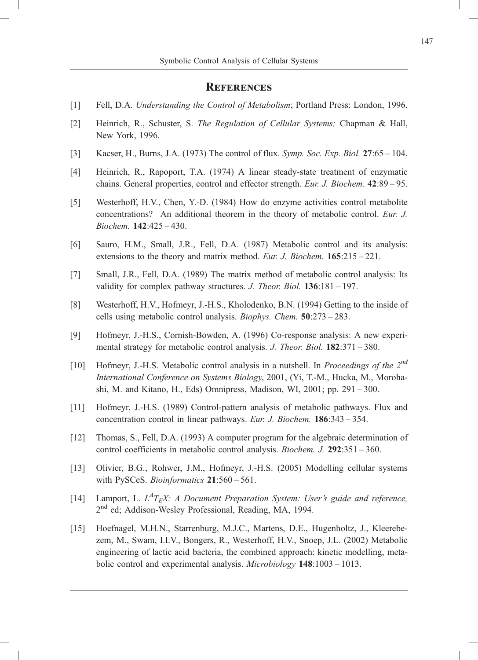### **REFERENCES**

- [1] Fell, D.A. Understanding the Control of Metabolism; Portland Press: London, 1996.
- [2] Heinrich, R., Schuster, S. The Regulation of Cellular Systems; Chapman & Hall, New York, 1996.
- [3] Kacser, H., Burns, J.A. (1973) The control of flux. Symp. Soc. Exp. Biol. 27:65 104.
- [4] Heinrich, R., Rapoport, T.A. (1974) A linear steady-state treatment of enzymatic chains. General properties, control and effector strength. Eur. J. Biochem. 42:89 – 95.
- [5] Westerhoff, H.V., Chen, Y.-D. (1984) How do enzyme activities control metabolite concentrations? An additional theorem in the theory of metabolic control. Eur. J. Biochem. 142:425 – 430.
- [6] Sauro, H.M., Small, J.R., Fell, D.A. (1987) Metabolic control and its analysis: extensions to the theory and matrix method. Eur. J. Biochem. 165:215 – 221.
- [7] Small, J.R., Fell, D.A. (1989) The matrix method of metabolic control analysis: Its validity for complex pathway structures. J. Theor. Biol.  $136:181 - 197$ .
- [8] Westerhoff, H.V., Hofmeyr, J.-H.S., Kholodenko, B.N. (1994) Getting to the inside of cells using metabolic control analysis. Biophys. Chem. 50:273 – 283.
- [9] Hofmeyr, J.-H.S., Cornish-Bowden, A. (1996) Co-response analysis: A new experimental strategy for metabolic control analysis. J. Theor. Biol. 182:371 – 380.
- [10] Hofmeyr, J.-H.S. Metabolic control analysis in a nutshell. In *Proceedings of the*  $2^{nd}$ International Conference on Systems Biology, 2001, (Yi, T.-M., Hucka, M., Morohashi, M. and Kitano, H., Eds) Omnipress, Madison, WI, 2001; pp. 291 – 300.
- [11] Hofmeyr, J.-H.S. (1989) Control-pattern analysis of metabolic pathways. Flux and concentration control in linear pathways. Eur. J. Biochem. 186:343 – 354.
- [12] Thomas, S., Fell, D.A. (1993) A computer program for the algebraic determination of control coefficients in metabolic control analysis. Biochem. J. 292:351 – 360.
- [13] Olivier, B.G., Rohwer, J.M., Hofmeyr, J.-H.S. (2005) Modelling cellular systems with PySCeS. Bioinformatics 21:560-561.
- [14] Lamport, L.  $L^4T_EX$ : A Document Preparation System: User's guide and reference, 2<sup>nd</sup> ed; Addison-Wesley Professional, Reading, MA, 1994.
- [15] Hoefnagel, M.H.N., Starrenburg, M.J.C., Martens, D.E., Hugenholtz, J., Kleerebezem, M., Swam, I.I.V., Bongers, R., Westerhoff, H.V., Snoep, J.L. (2002) Metabolic engineering of lactic acid bacteria, the combined approach: kinetic modelling, metabolic control and experimental analysis. Microbiology 148:1003 - 1013.